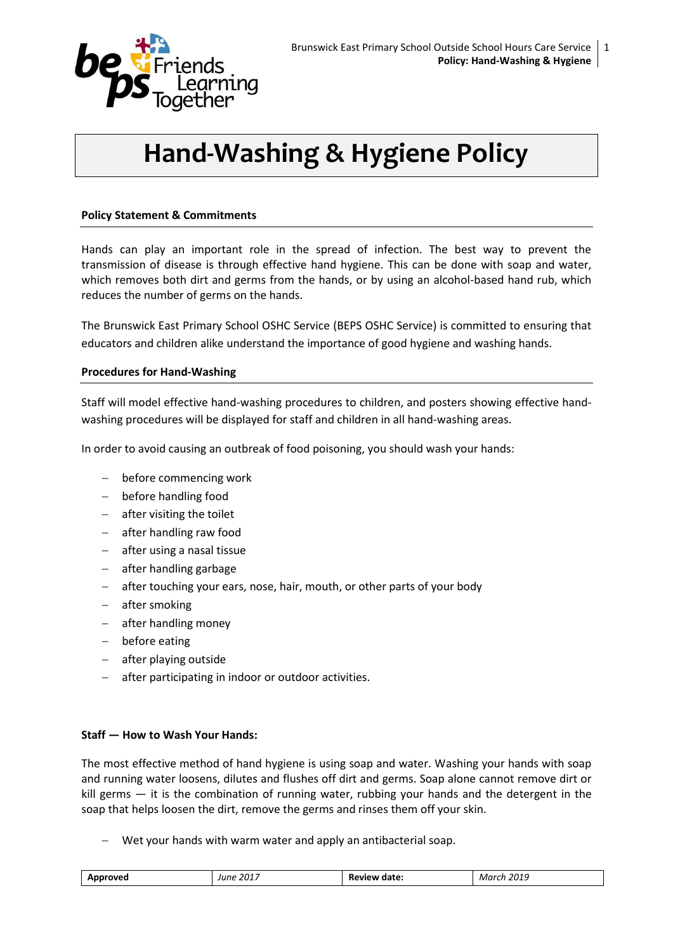

# **Hand-Washing & Hygiene Policy**

## **Policy Statement & Commitments**

Hands can play an important role in the spread of infection. The best way to prevent the transmission of disease is through effective hand hygiene. This can be done with soap and water, which removes both dirt and germs from the hands, or by using an alcohol-based hand rub, which reduces the number of germs on the hands.

The Brunswick East Primary School OSHC Service (BEPS OSHC Service) is committed to ensuring that educators and children alike understand the importance of good hygiene and washing hands.

### **Procedures for Hand-Washing**

Staff will model effective hand-washing procedures to children, and posters showing effective handwashing procedures will be displayed for staff and children in all hand-washing areas.

In order to avoid causing an outbreak of food poisoning, you should wash your hands:

- before commencing work
- before handling food
- $-$  after visiting the toilet
- after handling raw food
- after using a nasal tissue
- $-$  after handling garbage
- after touching your ears, nose, hair, mouth, or other parts of your body
- after smoking
- after handling money
- before eating
- after playing outside
- after participating in indoor or outdoor activities.

### **Staff — How to Wash Your Hands:**

The most effective method of hand hygiene is using soap and water. Washing your hands with soap and running water loosens, dilutes and flushes off dirt and germs. Soap alone cannot remove dirt or kill germs — it is the combination of running water, rubbing your hands and the detergent in the soap that helps loosen the dirt, remove the germs and rinses them off your skin.

Wet your hands with warm water and apply an antibacterial soap.

| $201^{-}$<br>$\sim$ $\sim$<br>Δn<br>lııne<br><b>N</b><br>. WE<br>к.<br>→ udu.<br>.<br>.<br>___ |
|------------------------------------------------------------------------------------------------|
|------------------------------------------------------------------------------------------------|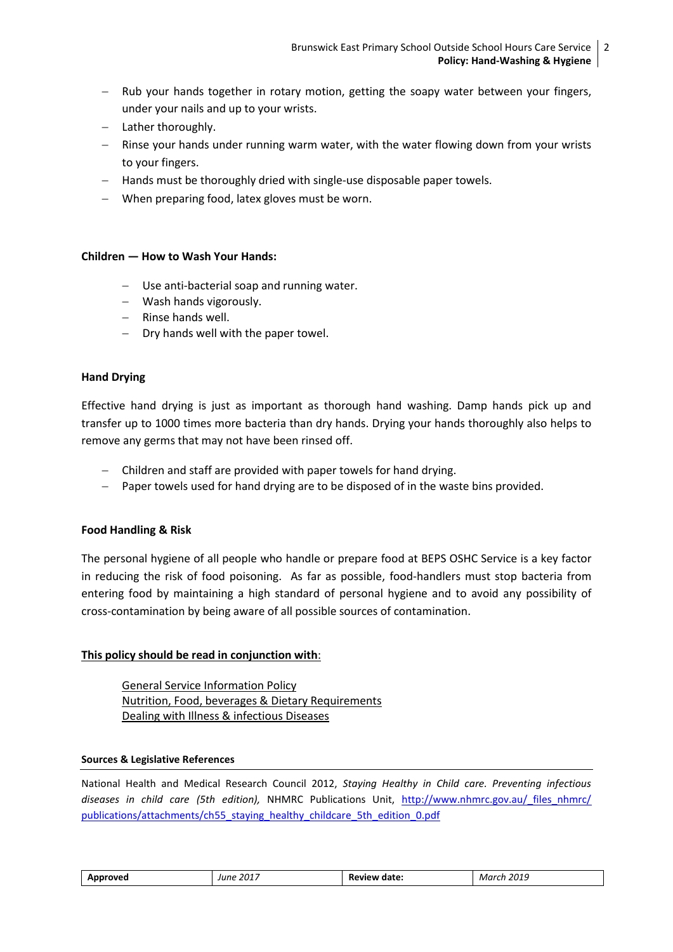- $-$  Rub your hands together in rotary motion, getting the soapy water between your fingers, under your nails and up to your wrists.
- Lather thoroughly.
- $-$  Rinse your hands under running warm water, with the water flowing down from your wrists to your fingers.
- Hands must be thoroughly dried with single-use disposable paper towels.
- When preparing food, latex gloves must be worn.

### **Children — How to Wash Your Hands:**

- Use anti-bacterial soap and running water.
- Wash hands vigorously.
- $-$  Rinse hands well.
- $-$  Dry hands well with the paper towel.

### **Hand Drying**

Effective hand drying is just as important as thorough hand washing. Damp hands pick up and transfer up to 1000 times more bacteria than dry hands. Drying your hands thoroughly also helps to remove any germs that may not have been rinsed off.

- Children and staff are provided with paper towels for hand drying.
- Paper towels used for hand drying are to be disposed of in the waste bins provided.

### **Food Handling & Risk**

The personal hygiene of all people who handle or prepare food at BEPS OSHC Service is a key factor in reducing the risk of food poisoning. As far as possible, food-handlers must stop bacteria from entering food by maintaining a high standard of personal hygiene and to avoid any possibility of cross-contamination by being aware of all possible sources of contamination.

### **This policy should be read in conjunction with**:

General Service Information Policy Nutrition, Food, beverages & Dietary Requirements Dealing with Illness & infectious Diseases

#### **Sources & Legislative References**

National Health and Medical Research Council 2012, *Staying Healthy in Child care. Preventing infectious*  diseases in child care (5th edition), NHMRC Publications Unit, http://www.nhmrc.gov.au/ files\_nhmrc/ [publications/attachments/ch55\\_staying\\_healthy\\_childcare\\_5th\\_edition\\_0.pdf](http://www.nhmrc.gov.au/_files_nhmrc/publications/attachments/ch55_staying_healthy_childcare_5th_edition_0.pdf)

| $201^{-}$<br>. OVAC<br>lune<br>$  -$ | date<br>.<br>ĸ<br>wı<br>______ | 201L<br>Marr<br>- בטי |
|--------------------------------------|--------------------------------|-----------------------|
|--------------------------------------|--------------------------------|-----------------------|